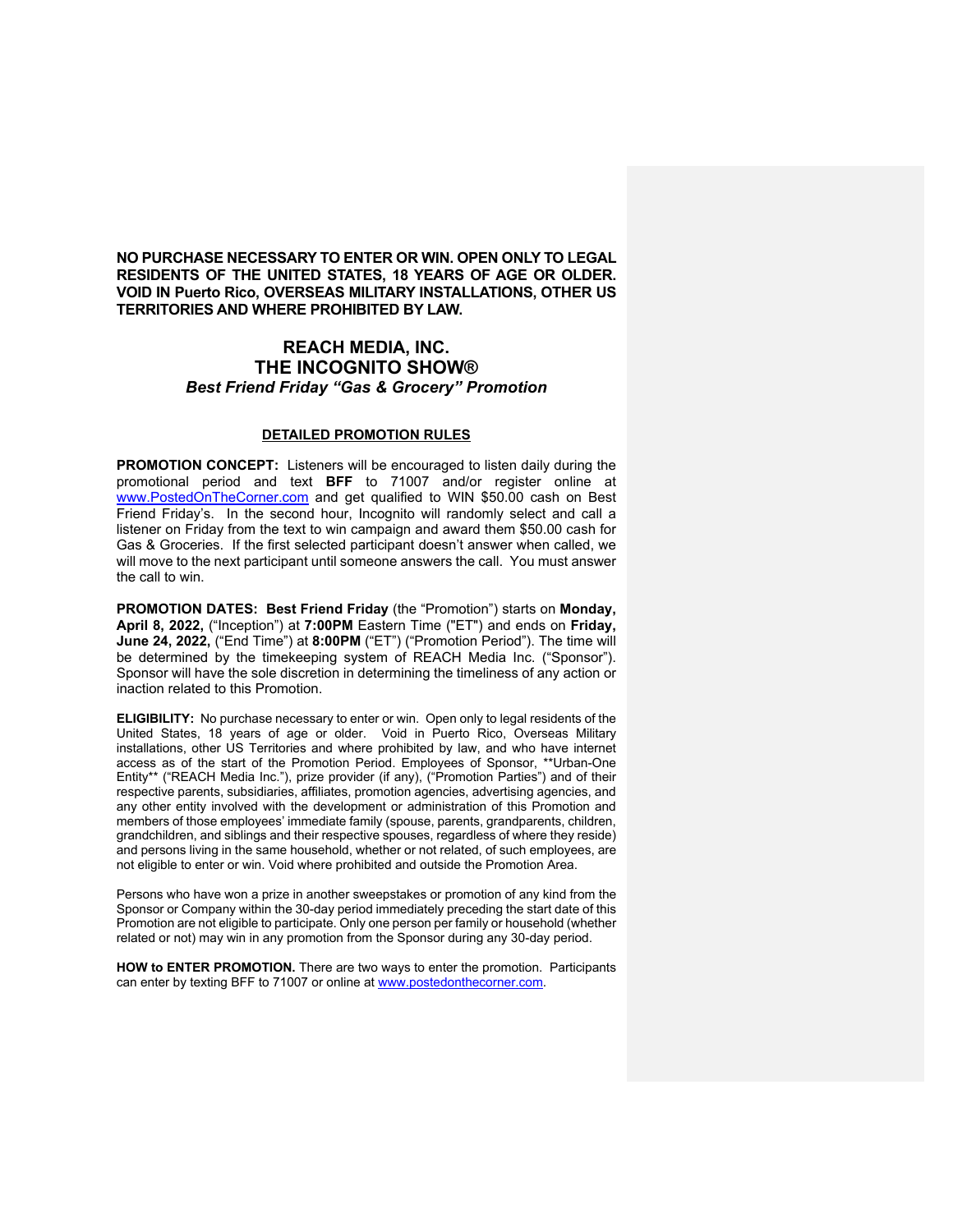**NO PURCHASE NECESSARY TO ENTER OR WIN. OPEN ONLY TO LEGAL RESIDENTS OF THE UNITED STATES, 18 YEARS OF AGE OR OLDER. VOID IN Puerto Rico, OVERSEAS MILITARY INSTALLATIONS, OTHER US TERRITORIES AND WHERE PROHIBITED BY LAW.**

## **REACH MEDIA, INC. THE INCOGNITO SHOW®** *Best Friend Friday "Gas & Grocery" Promotion*

## **DETAILED PROMOTION RULES**

**PROMOTION CONCEPT:** Listeners will be encouraged to listen daily during the promotional period and text **BFF** to 71007 and/or register online at www.PostedOnTheCorner.com and get qualified to WIN \$50.00 cash on Best Friend Friday's. In the second hour, Incognito will randomly select and call a listener on Friday from the text to win campaign and award them \$50.00 cash for Gas & Groceries. If the first selected participant doesn't answer when called, we will move to the next participant until someone answers the call. You must answer the call to win.

**PROMOTION DATES: Best Friend Friday** (the "Promotion") starts on **Monday, April 8, 2022,** ("Inception") at **7:00PM** Eastern Time ("ET") and ends on **Friday, June 24, 2022,** ("End Time") at **8:00PM** ("ET") ("Promotion Period"). The time will be determined by the timekeeping system of REACH Media Inc. ("Sponsor"). Sponsor will have the sole discretion in determining the timeliness of any action or inaction related to this Promotion.

**ELIGIBILITY:** No purchase necessary to enter or win. Open only to legal residents of the United States, 18 years of age or older. Void in Puerto Rico, Overseas Military installations, other US Territories and where prohibited by law, and who have internet access as of the start of the Promotion Period. Employees of Sponsor, \*\*Urban-One Entity\*\* ("REACH Media Inc."), prize provider (if any), ("Promotion Parties") and of their respective parents, subsidiaries, affiliates, promotion agencies, advertising agencies, and any other entity involved with the development or administration of this Promotion and members of those employees' immediate family (spouse, parents, grandparents, children, grandchildren, and siblings and their respective spouses, regardless of where they reside) and persons living in the same household, whether or not related, of such employees, are not eligible to enter or win. Void where prohibited and outside the Promotion Area.

Persons who have won a prize in another sweepstakes or promotion of any kind from the Sponsor or Company within the 30-day period immediately preceding the start date of this Promotion are not eligible to participate. Only one person per family or household (whether related or not) may win in any promotion from the Sponsor during any 30-day period.

**HOW to ENTER PROMOTION.** There are two ways to enter the promotion. Participants can enter by texting BFF to 71007 or online at www.postedonthecorner.com.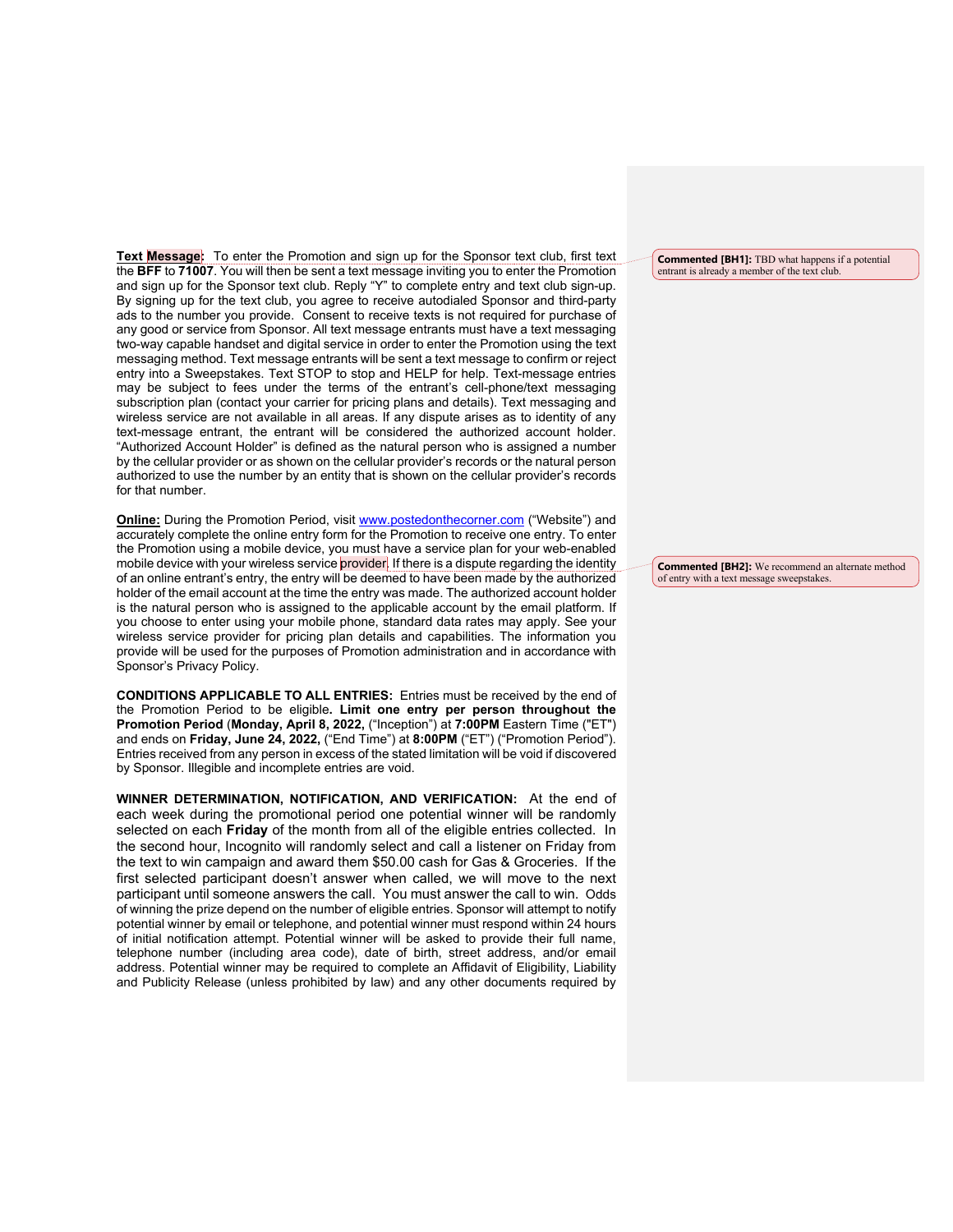**Text Message:** To enter the Promotion and sign up for the Sponsor text club, first text the **BFF** to **71007**. You will then be sent a text message inviting you to enter the Promotion and sign up for the Sponsor text club. Reply "Y" to complete entry and text club sign-up. By signing up for the text club, you agree to receive autodialed Sponsor and third-party ads to the number you provide. Consent to receive texts is not required for purchase of any good or service from Sponsor. All text message entrants must have a text messaging two-way capable handset and digital service in order to enter the Promotion using the text messaging method. Text message entrants will be sent a text message to confirm or reject entry into a Sweepstakes. Text STOP to stop and HELP for help. Text-message entries may be subject to fees under the terms of the entrant's cell-phone/text messaging subscription plan (contact your carrier for pricing plans and details). Text messaging and wireless service are not available in all areas. If any dispute arises as to identity of any text-message entrant, the entrant will be considered the authorized account holder. "Authorized Account Holder" is defined as the natural person who is assigned a number by the cellular provider or as shown on the cellular provider's records or the natural person authorized to use the number by an entity that is shown on the cellular provider's records for that number.

**Online:** During the Promotion Period, visit www.postedonthecorner.com ("Website") and accurately complete the online entry form for the Promotion to receive one entry. To enter the Promotion using a mobile device, you must have a service plan for your web-enabled mobile device with your wireless service provider. If there is a dispute regarding the identity of an online entrant's entry, the entry will be deemed to have been made by the authorized holder of the email account at the time the entry was made. The authorized account holder is the natural person who is assigned to the applicable account by the email platform. If you choose to enter using your mobile phone, standard data rates may apply. See your wireless service provider for pricing plan details and capabilities. The information you provide will be used for the purposes of Promotion administration and in accordance with Sponsor's Privacy Policy.

**CONDITIONS APPLICABLE TO ALL ENTRIES:** Entries must be received by the end of the Promotion Period to be eligible**. Limit one entry per person throughout the Promotion Period** (**Monday, April 8, 2022,** ("Inception") at **7:00PM** Eastern Time ("ET") and ends on **Friday, June 24, 2022,** ("End Time") at **8:00PM** ("ET") ("Promotion Period"). Entries received from any person in excess of the stated limitation will be void if discovered by Sponsor. Illegible and incomplete entries are void.

**WINNER DETERMINATION, NOTIFICATION, AND VERIFICATION:** At the end of each week during the promotional period one potential winner will be randomly selected on each **Friday** of the month from all of the eligible entries collected. In the second hour, Incognito will randomly select and call a listener on Friday from the text to win campaign and award them \$50.00 cash for Gas & Groceries. If the first selected participant doesn't answer when called, we will move to the next participant until someone answers the call. You must answer the call to win. Odds of winning the prize depend on the number of eligible entries. Sponsor will attempt to notify potential winner by email or telephone, and potential winner must respond within 24 hours of initial notification attempt. Potential winner will be asked to provide their full name, telephone number (including area code), date of birth, street address, and/or email address. Potential winner may be required to complete an Affidavit of Eligibility, Liability and Publicity Release (unless prohibited by law) and any other documents required by

**Commented [BH1]:** TBD what happens if a potential entrant is already a member of the text club.

**Commented [BH2]:** We recommend an alternate method of entry with a text message sweepstakes.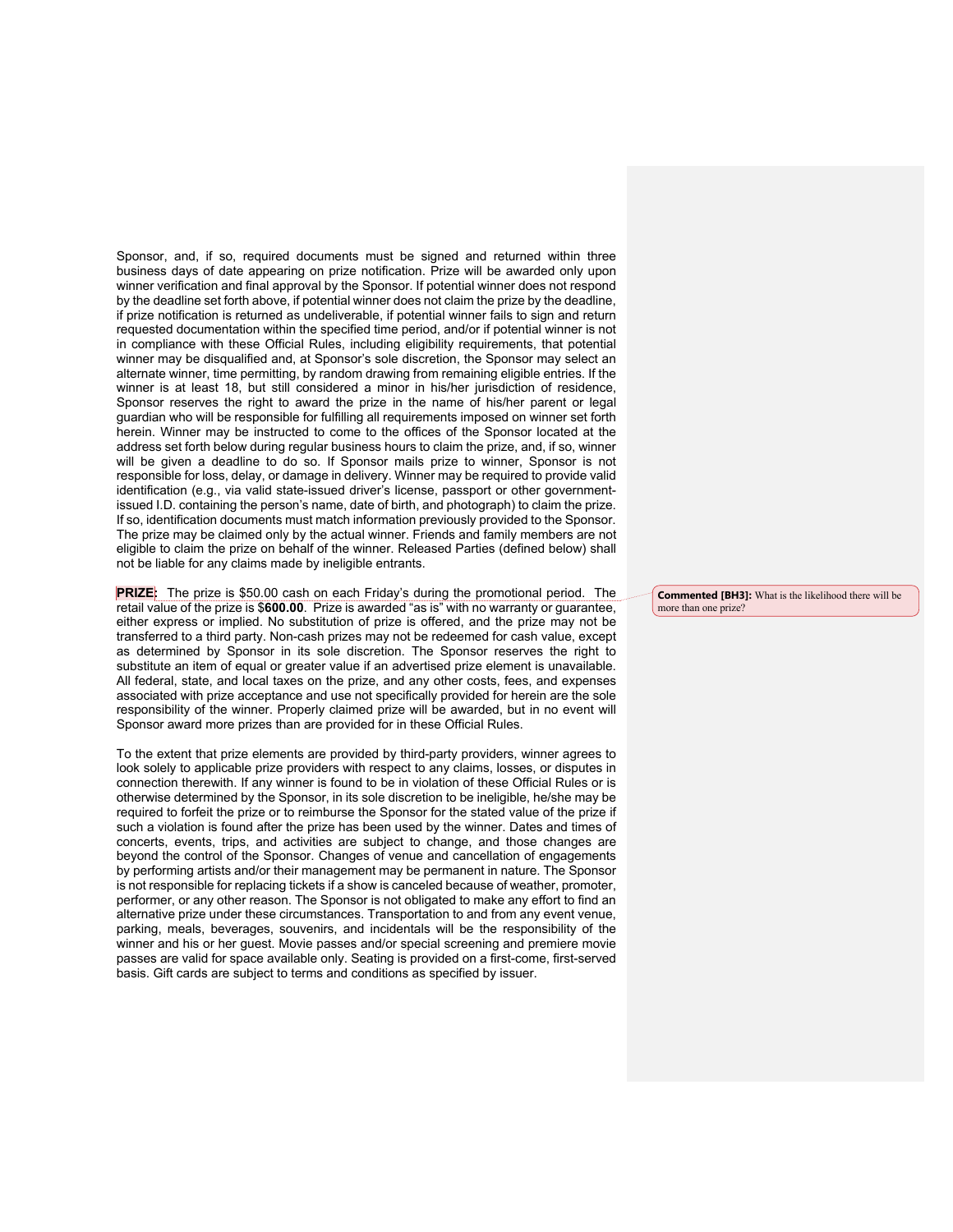Sponsor, and, if so, required documents must be signed and returned within three business days of date appearing on prize notification. Prize will be awarded only upon winner verification and final approval by the Sponsor. If potential winner does not respond by the deadline set forth above, if potential winner does not claim the prize by the deadline, if prize notification is returned as undeliverable, if potential winner fails to sign and return requested documentation within the specified time period, and/or if potential winner is not in compliance with these Official Rules, including eligibility requirements, that potential winner may be disqualified and, at Sponsor's sole discretion, the Sponsor may select an alternate winner, time permitting, by random drawing from remaining eligible entries. If the winner is at least 18, but still considered a minor in his/her jurisdiction of residence, Sponsor reserves the right to award the prize in the name of his/her parent or legal guardian who will be responsible for fulfilling all requirements imposed on winner set forth herein. Winner may be instructed to come to the offices of the Sponsor located at the address set forth below during regular business hours to claim the prize, and, if so, winner will be given a deadline to do so. If Sponsor mails prize to winner, Sponsor is not responsible for loss, delay, or damage in delivery. Winner may be required to provide valid identification (e.g., via valid state-issued driver's license, passport or other governmentissued I.D. containing the person's name, date of birth, and photograph) to claim the prize. If so, identification documents must match information previously provided to the Sponsor. The prize may be claimed only by the actual winner. Friends and family members are not eligible to claim the prize on behalf of the winner. Released Parties (defined below) shall not be liable for any claims made by ineligible entrants.

**PRIZE:** The prize is \$50.00 cash on each Friday's during the promotional period. The retail value of the prize is \$**600.00**. Prize is awarded "as is" with no warranty or guarantee, either express or implied. No substitution of prize is offered, and the prize may not be transferred to a third party. Non-cash prizes may not be redeemed for cash value, except as determined by Sponsor in its sole discretion. The Sponsor reserves the right to substitute an item of equal or greater value if an advertised prize element is unavailable. All federal, state, and local taxes on the prize, and any other costs, fees, and expenses associated with prize acceptance and use not specifically provided for herein are the sole responsibility of the winner. Properly claimed prize will be awarded, but in no event will Sponsor award more prizes than are provided for in these Official Rules.

To the extent that prize elements are provided by third-party providers, winner agrees to look solely to applicable prize providers with respect to any claims, losses, or disputes in connection therewith. If any winner is found to be in violation of these Official Rules or is otherwise determined by the Sponsor, in its sole discretion to be ineligible, he/she may be required to forfeit the prize or to reimburse the Sponsor for the stated value of the prize if such a violation is found after the prize has been used by the winner. Dates and times of concerts, events, trips, and activities are subject to change, and those changes are beyond the control of the Sponsor. Changes of venue and cancellation of engagements by performing artists and/or their management may be permanent in nature. The Sponsor is not responsible for replacing tickets if a show is canceled because of weather, promoter, performer, or any other reason. The Sponsor is not obligated to make any effort to find an alternative prize under these circumstances. Transportation to and from any event venue, parking, meals, beverages, souvenirs, and incidentals will be the responsibility of the winner and his or her guest. Movie passes and/or special screening and premiere movie passes are valid for space available only. Seating is provided on a first-come, first-served basis. Gift cards are subject to terms and conditions as specified by issuer.

**Commented [BH3]:** What is the likelihood there will be more than one prize?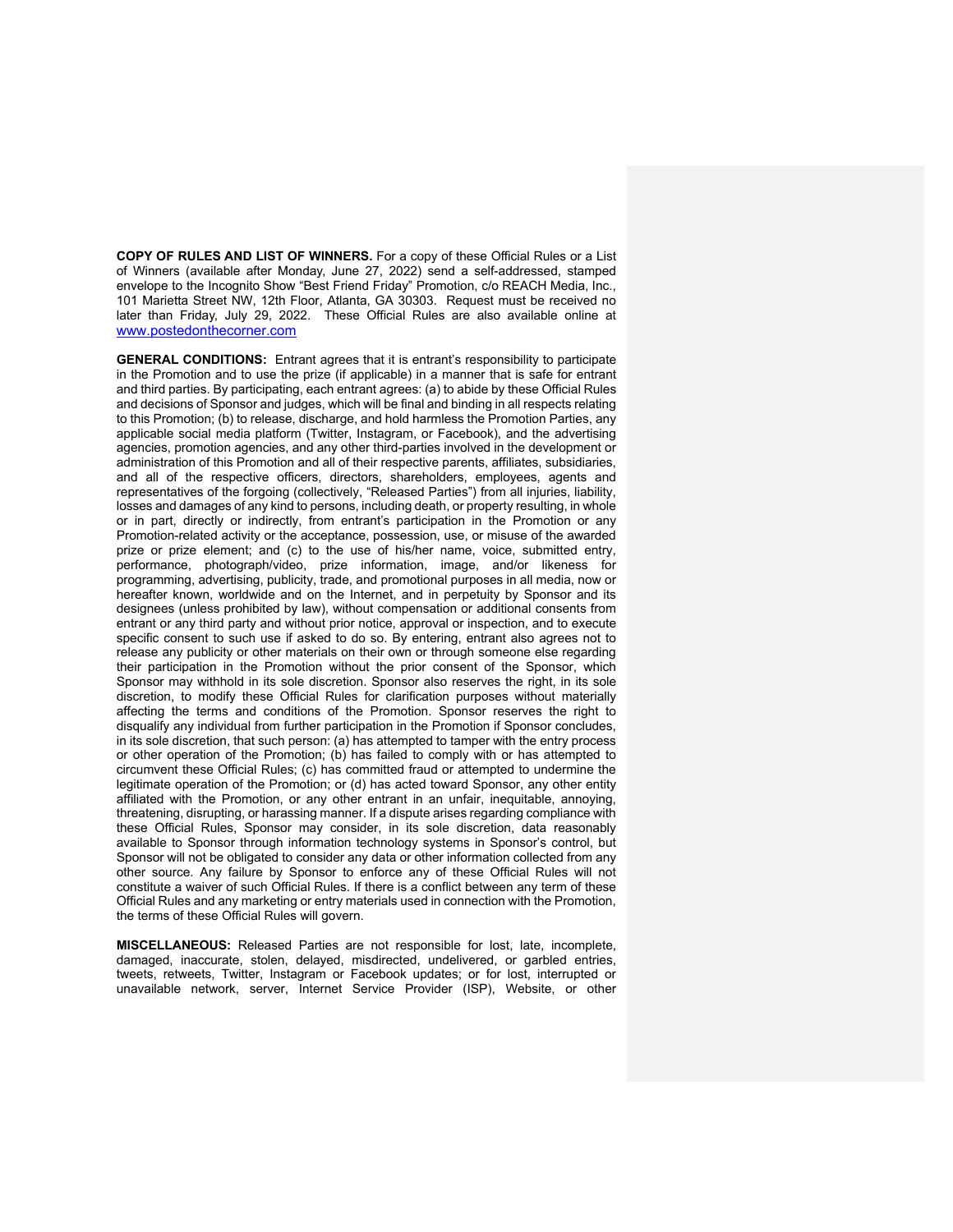**COPY OF RULES AND LIST OF WINNERS.** For a copy of these Official Rules or a List of Winners (available after Monday, June 27, 2022) send a self-addressed, stamped envelope to the Incognito Show "Best Friend Friday" Promotion, c/o REACH Media, Inc., 101 Marietta Street NW, 12th Floor, Atlanta, GA 30303. Request must be received no later than Friday, July 29, 2022. These Official Rules are also available online at www.postedonthecorner.com

**GENERAL CONDITIONS:** Entrant agrees that it is entrant's responsibility to participate in the Promotion and to use the prize (if applicable) in a manner that is safe for entrant and third parties. By participating, each entrant agrees: (a) to abide by these Official Rules and decisions of Sponsor and judges, which will be final and binding in all respects relating to this Promotion; (b) to release, discharge, and hold harmless the Promotion Parties, any applicable social media platform (Twitter, Instagram, or Facebook), and the advertising agencies, promotion agencies, and any other third-parties involved in the development or administration of this Promotion and all of their respective parents, affiliates, subsidiaries, and all of the respective officers, directors, shareholders, employees, agents and representatives of the forgoing (collectively, "Released Parties") from all injuries, liability, losses and damages of any kind to persons, including death, or property resulting, in whole or in part, directly or indirectly, from entrant's participation in the Promotion or any Promotion-related activity or the acceptance, possession, use, or misuse of the awarded prize or prize element; and (c) to the use of his/her name, voice, submitted entry, performance, photograph/video, prize information, image, and/or likeness for programming, advertising, publicity, trade, and promotional purposes in all media, now or hereafter known, worldwide and on the Internet, and in perpetuity by Sponsor and its designees (unless prohibited by law), without compensation or additional consents from entrant or any third party and without prior notice, approval or inspection, and to execute specific consent to such use if asked to do so. By entering, entrant also agrees not to release any publicity or other materials on their own or through someone else regarding their participation in the Promotion without the prior consent of the Sponsor, which Sponsor may withhold in its sole discretion. Sponsor also reserves the right, in its sole discretion, to modify these Official Rules for clarification purposes without materially affecting the terms and conditions of the Promotion. Sponsor reserves the right to disqualify any individual from further participation in the Promotion if Sponsor concludes, in its sole discretion, that such person: (a) has attempted to tamper with the entry process or other operation of the Promotion; (b) has failed to comply with or has attempted to circumvent these Official Rules; (c) has committed fraud or attempted to undermine the legitimate operation of the Promotion; or (d) has acted toward Sponsor, any other entity affiliated with the Promotion, or any other entrant in an unfair, inequitable, annoying, threatening, disrupting, or harassing manner. If a dispute arises regarding compliance with these Official Rules, Sponsor may consider, in its sole discretion, data reasonably available to Sponsor through information technology systems in Sponsor's control, but Sponsor will not be obligated to consider any data or other information collected from any other source. Any failure by Sponsor to enforce any of these Official Rules will not constitute a waiver of such Official Rules. If there is a conflict between any term of these Official Rules and any marketing or entry materials used in connection with the Promotion, the terms of these Official Rules will govern.

**MISCELLANEOUS:** Released Parties are not responsible for lost, late, incomplete, damaged, inaccurate, stolen, delayed, misdirected, undelivered, or garbled entries, tweets, retweets, Twitter, Instagram or Facebook updates; or for lost, interrupted or unavailable network, server, Internet Service Provider (ISP), Website, or other